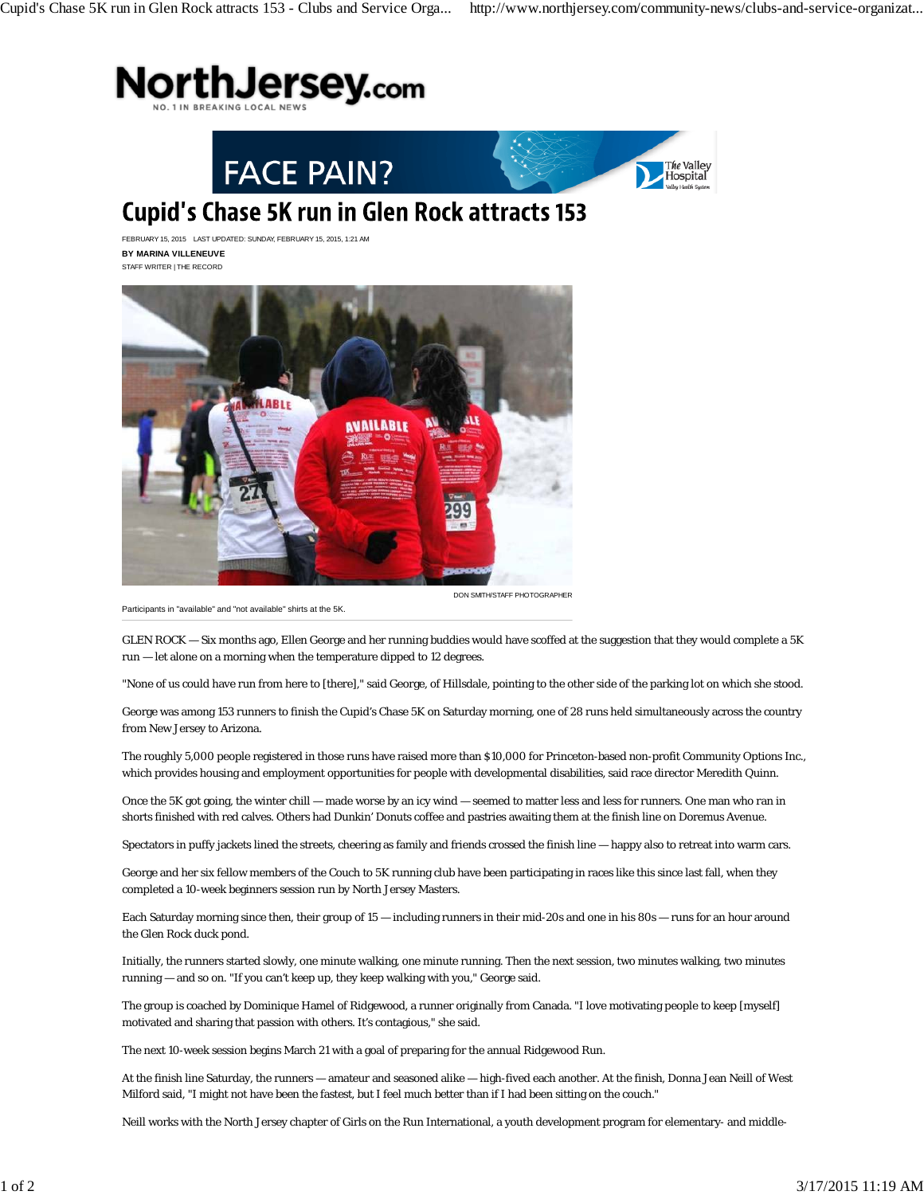





## **Cupid's Chase 5K run in Glen Rock attracts 153**

FEBRUARY 15, 2015 LAST UPDATED: SUNDAY, FEBRUARY 15, 2015, 1:21 AM **BY MARINA VILLENEUVE** STAFF WRITER | THE RECORD



Participants in "available" and "not available" shirts at the 5K.

GLEN ROCK — Six months ago, Ellen George and her running buddies would have scoffed at the suggestion that they would complete a 5K run — let alone on a morning when the temperature dipped to 12 degrees.

"None of us could have run from here to [there]," said George, of Hillsdale, pointing to the other side of the parking lot on which she stood.

George was among 153 runners to finish the Cupid's Chase 5K on Saturday morning, one of 28 runs held simultaneously across the country from New Jersey to Arizona.

The roughly 5,000 people registered in those runs have raised more than \$10,000 for Princeton-based non-profit Community Options Inc., which provides housing and employment opportunities for people with developmental disabilities, said race director Meredith Quinn.

Once the 5K got going, the winter chill — made worse by an icy wind — seemed to matter less and less for runners. One man who ran in shorts finished with red calves. Others had Dunkin' Donuts coffee and pastries awaiting them at the finish line on Doremus Avenue.

Spectators in puffy jackets lined the streets, cheering as family and friends crossed the finish line — happy also to retreat into warm cars.

George and her six fellow members of the Couch to 5K running club have been participating in races like this since last fall, when they completed a 10-week beginners session run by North Jersey Masters.

Each Saturday morning since then, their group of 15 — including runners in their mid-20s and one in his 80s — runs for an hour around the Glen Rock duck pond.

Initially, the runners started slowly, one minute walking, one minute running. Then the next session, two minutes walking, two minutes running — and so on. "If you can't keep up, they keep walking with you," George said.

The group is coached by Dominique Hamel of Ridgewood, a runner originally from Canada. "I love motivating people to keep [myself] motivated and sharing that passion with others. It's contagious," she said.

The next 10-week session begins March 21 with a goal of preparing for the annual Ridgewood Run.

At the finish line Saturday, the runners — amateur and seasoned alike — high-fived each another. At the finish, Donna Jean Neill of West Milford said, "I might not have been the fastest, but I feel much better than if I had been sitting on the couch."

Neill works with the North Jersey chapter of Girls on the Run International, a youth development program for elementary- and middle-